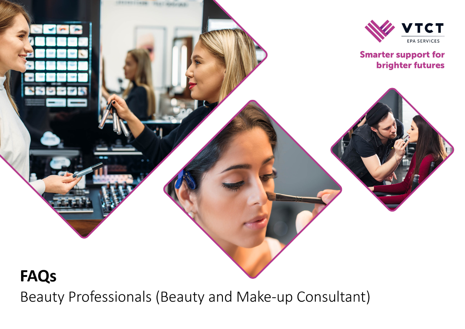

Beauty Professionals (Beauty and Make-up Consultant)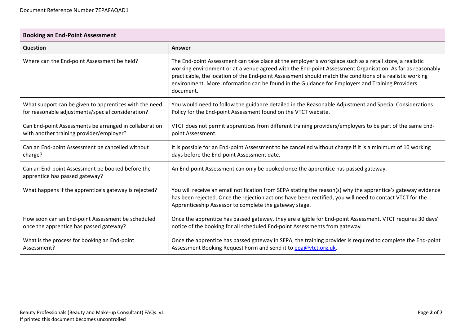| <b>Booking an End-Point Assessment</b>                                             |                                                                                                                                                                                                                                                                                                                                                                                                                                                  |  |
|------------------------------------------------------------------------------------|--------------------------------------------------------------------------------------------------------------------------------------------------------------------------------------------------------------------------------------------------------------------------------------------------------------------------------------------------------------------------------------------------------------------------------------------------|--|
| <b>Question</b>                                                                    | <b>Answer</b>                                                                                                                                                                                                                                                                                                                                                                                                                                    |  |
| Where can the End-point Assessment be held?                                        | The End-point Assessment can take place at the employer's workplace such as a retail store, a realistic<br>working environment or at a venue agreed with the End-point Assessment Organisation. As far as reasonably<br>practicable, the location of the End-point Assessment should match the conditions of a realistic working<br>environment. More information can be found in the Guidance for Employers and Training Providers<br>document. |  |
| What support can be given to apprentices with the need                             | You would need to follow the guidance detailed in the Reasonable Adjustment and Special Considerations                                                                                                                                                                                                                                                                                                                                           |  |
| for reasonable adjustments/special consideration?                                  | Policy for the End-point Assessment found on the VTCT website.                                                                                                                                                                                                                                                                                                                                                                                   |  |
| Can End-point Assessments be arranged in collaboration                             | VTCT does not permit apprentices from different training providers/employers to be part of the same End-                                                                                                                                                                                                                                                                                                                                         |  |
| with another training provider/employer?                                           | point Assessment.                                                                                                                                                                                                                                                                                                                                                                                                                                |  |
| Can an End-point Assessment be cancelled without                                   | It is possible for an End-point Assessment to be cancelled without charge if it is a minimum of 10 working                                                                                                                                                                                                                                                                                                                                       |  |
| charge?                                                                            | days before the End-point Assessment date.                                                                                                                                                                                                                                                                                                                                                                                                       |  |
| Can an End-point Assessment be booked before the<br>apprentice has passed gateway? | An End-point Assessment can only be booked once the apprentice has passed gateway.                                                                                                                                                                                                                                                                                                                                                               |  |
| What happens if the apprentice's gateway is rejected?                              | You will receive an email notification from SEPA stating the reason(s) why the apprentice's gateway evidence<br>has been rejected. Once the rejection actions have been rectified, you will need to contact VTCT for the<br>Apprenticeship Assessor to complete the gateway stage.                                                                                                                                                               |  |
| How soon can an End-point Assessment be scheduled                                  | Once the apprentice has passed gateway, they are eligible for End-point Assessment. VTCT requires 30 days'                                                                                                                                                                                                                                                                                                                                       |  |
| once the apprentice has passed gateway?                                            | notice of the booking for all scheduled End-point Assessments from gateway.                                                                                                                                                                                                                                                                                                                                                                      |  |
| What is the process for booking an End-point                                       | Once the apprentice has passed gateway in SEPA, the training provider is required to complete the End-point                                                                                                                                                                                                                                                                                                                                      |  |
| Assessment?                                                                        | Assessment Booking Request Form and send it to epa@vtct.org.uk.                                                                                                                                                                                                                                                                                                                                                                                  |  |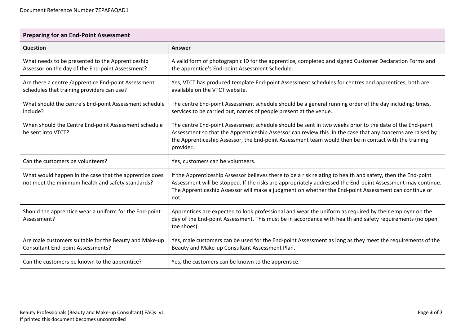| <b>Preparing for an End-Point Assessment</b>                                                                |                                                                                                                                                                                                                                                                                                                                              |  |
|-------------------------------------------------------------------------------------------------------------|----------------------------------------------------------------------------------------------------------------------------------------------------------------------------------------------------------------------------------------------------------------------------------------------------------------------------------------------|--|
| Question                                                                                                    | Answer                                                                                                                                                                                                                                                                                                                                       |  |
| What needs to be presented to the Apprenticeship<br>Assessor on the day of the End-point Assessment?        | A valid form of photographic ID for the apprentice, completed and signed Customer Declaration Forms and<br>the apprentice's End-point Assessment Schedule.                                                                                                                                                                                   |  |
| Are there a centre /apprentice End-point Assessment<br>schedules that training providers can use?           | Yes, VTCT has produced template End-point Assessment schedules for centres and apprentices, both are<br>available on the VTCT website.                                                                                                                                                                                                       |  |
| What should the centre's End-point Assessment schedule<br>include?                                          | The centre End-point Assessment schedule should be a general running order of the day including: times,<br>services to be carried out, names of people present at the venue.                                                                                                                                                                 |  |
| When should the Centre End-point Assessment schedule<br>be sent into VTCT?                                  | The centre End-point Assessment schedule should be sent in two weeks prior to the date of the End-point<br>Assessment so that the Apprenticeship Assessor can review this. In the case that any concerns are raised by<br>the Apprenticeship Assessor, the End-point Assessment team would then be in contact with the training<br>provider. |  |
| Can the customers be volunteers?                                                                            | Yes, customers can be volunteers.                                                                                                                                                                                                                                                                                                            |  |
| What would happen in the case that the apprentice does<br>not meet the minimum health and safety standards? | If the Apprenticeship Assessor believes there to be a risk relating to health and safety, then the End-point<br>Assessment will be stopped. If the risks are appropriately addressed the End-point Assessment may continue.<br>The Apprenticeship Assessor will make a judgment on whether the End-point Assessment can continue or<br>not.  |  |
| Should the apprentice wear a uniform for the End-point<br>Assessment?                                       | Apprentices are expected to look professional and wear the uniform as required by their employer on the<br>day of the End-point Assessment. This must be in accordance with health and safety requirements (no open<br>toe shoes).                                                                                                           |  |
| Are male customers suitable for the Beauty and Make-up<br><b>Consultant End-point Assessments?</b>          | Yes, male customers can be used for the End-point Assessment as long as they meet the requirements of the<br>Beauty and Make-up Consultant Assessment Plan.                                                                                                                                                                                  |  |
| Can the customers be known to the apprentice?                                                               | Yes, the customers can be known to the apprentice.                                                                                                                                                                                                                                                                                           |  |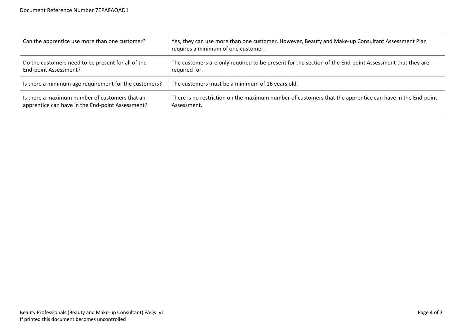| Can the apprentice use more than one customer?          | Yes, they can use more than one customer. However, Beauty and Make-up Consultant Assessment Plan<br>requires a minimum of one customer. |
|---------------------------------------------------------|-----------------------------------------------------------------------------------------------------------------------------------------|
| Do the customers need to be present for all of the      | The customers are only required to be present for the section of the End-point Assessment that they are                                 |
| End-point Assessment?                                   | required for.                                                                                                                           |
| I is there a minimum age requirement for the customers? | The customers must be a minimum of 16 years old.                                                                                        |
| Is there a maximum number of customers that an          | There is no restriction on the maximum number of customers that the apprentice can have in the End-point                                |
| apprentice can have in the End-point Assessment?        | Assessment.                                                                                                                             |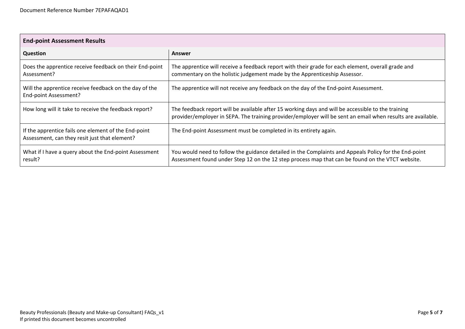| <b>End-point Assessment Results</b>                                                                   |                                                                                                                                                                                                                   |  |
|-------------------------------------------------------------------------------------------------------|-------------------------------------------------------------------------------------------------------------------------------------------------------------------------------------------------------------------|--|
| <b>Question</b>                                                                                       | Answer                                                                                                                                                                                                            |  |
| Does the apprentice receive feedback on their End-point<br>Assessment?                                | The apprentice will receive a feedback report with their grade for each element, overall grade and<br>commentary on the holistic judgement made by the Apprenticeship Assessor.                                   |  |
| Will the apprentice receive feedback on the day of the<br>End-point Assessment?                       | The apprentice will not receive any feedback on the day of the End-point Assessment.                                                                                                                              |  |
| How long will it take to receive the feedback report?                                                 | The feedback report will be available after 15 working days and will be accessible to the training<br>provider/employer in SEPA. The training provider/employer will be sent an email when results are available. |  |
| If the apprentice fails one element of the End-point<br>Assessment, can they resit just that element? | The End-point Assessment must be completed in its entirety again.                                                                                                                                                 |  |
| What if I have a query about the End-point Assessment<br>result?                                      | You would need to follow the guidance detailed in the Complaints and Appeals Policy for the End-point<br>Assessment found under Step 12 on the 12 step process map that can be found on the VTCT website.         |  |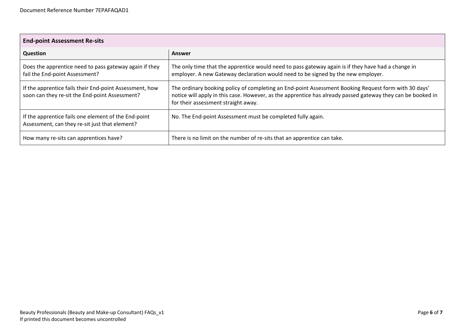| <b>End-point Assessment Re-sits</b>                                                                       |                                                                                                                                                                                                                                                            |  |
|-----------------------------------------------------------------------------------------------------------|------------------------------------------------------------------------------------------------------------------------------------------------------------------------------------------------------------------------------------------------------------|--|
| <b>Question</b>                                                                                           | Answer                                                                                                                                                                                                                                                     |  |
| Does the apprentice need to pass gateway again if they<br>fail the End-point Assessment?                  | The only time that the apprentice would need to pass gateway again is if they have had a change in<br>employer. A new Gateway declaration would need to be signed by the new employer.                                                                     |  |
| If the apprentice fails their End-point Assessment, how<br>soon can they re-sit the End-point Assessment? | The ordinary booking policy of completing an End-point Assessment Booking Request form with 30 days'<br>notice will apply in this case. However, as the apprentice has already passed gateway they can be booked in<br>for their assessment straight away. |  |
| If the apprentice fails one element of the End-point<br>Assessment, can they re-sit just that element?    | No. The End-point Assessment must be completed fully again.                                                                                                                                                                                                |  |
| How many re-sits can apprentices have?                                                                    | There is no limit on the number of re-sits that an apprentice can take.                                                                                                                                                                                    |  |